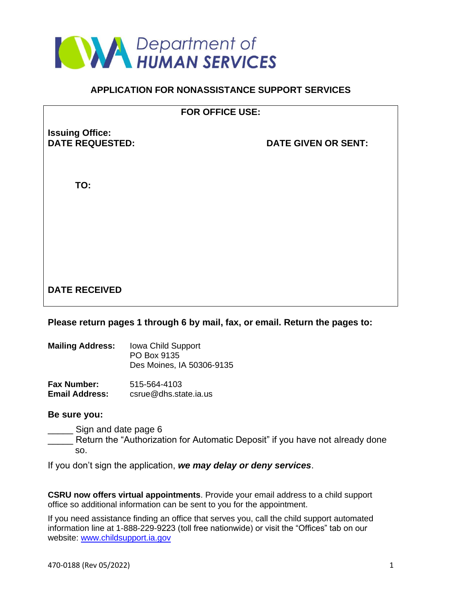

## **APPLICATION FOR NONASSISTANCE SUPPORT SERVICES**

## **FOR OFFICE USE:**

**Issuing Office:**

**DATE GIVEN OR SENT:** 

**TO:**

# **DATE RECEIVED**

## **Please return pages 1 through 6 by mail, fax, or email. Return the pages to:**

| <b>Mailing Address:</b> | <b>Iowa Child Support</b><br>PO Box 9135<br>Des Moines, IA 50306-9135 |
|-------------------------|-----------------------------------------------------------------------|
| <b>Fax Number:</b>      | 515-564-4103                                                          |

**Email Address:** csrue@dhs.state.ia.us

## **Be sure you:**

Sign and date page 6

Return the "Authorization for Automatic Deposit" if you have not already done so.

If you don't sign the application, *we may delay or deny services*.

**CSRU now offers virtual appointments**. Provide your email address to a child support office so additional information can be sent to you for the appointment.

If you need assistance finding an office that serves you, call the child support automated information line at 1-888-229-9223 (toll free nationwide) or visit the "Offices" tab on our website: www.childsupport.ia.gov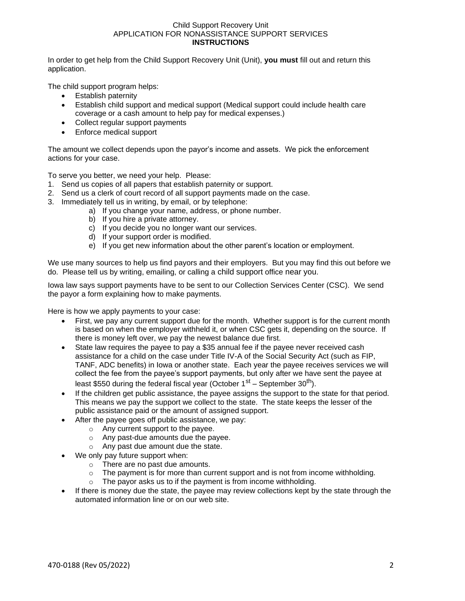#### Child Support Recovery Unit APPLICATION FOR NONASSISTANCE SUPPORT SERVICES **INSTRUCTIONS**

In order to get help from the Child Support Recovery Unit (Unit), **you must** fill out and return this application.

The child support program helps:

- Establish paternity
- Establish child support and medical support (Medical support could include health care coverage or a cash amount to help pay for medical expenses.)
- Collect regular support payments
- Enforce medical support

The amount we collect depends upon the payor's income and assets. We pick the enforcement actions for your case.

To serve you better, we need your help. Please:

- 1. Send us copies of all papers that establish paternity or support.
- 2. Send us a clerk of court record of all support payments made on the case.
- 3. Immediately tell us in writing, by email, or by telephone:
	- a) If you change your name, address, or phone number.
	- b) If you hire a private attorney.
	- c) If you decide you no longer want our services.
	- d) If your support order is modified.
	- e) If you get new information about the other parent's location or employment.

We use many sources to help us find payors and their employers. But you may find this out before we do. Please tell us by writing, emailing, or calling a child support office near you.

Iowa law says support payments have to be sent to our Collection Services Center (CSC). We send the payor a form explaining how to make payments.

Here is how we apply payments to your case:

- First, we pay any current support due for the month. Whether support is for the current month is based on when the employer withheld it, or when CSC gets it, depending on the source. If there is money left over, we pay the newest balance due first.
- State law requires the payee to pay a \$35 annual fee if the payee never received cash assistance for a child on the case under Title IV-A of the Social Security Act (such as FIP, TANF, ADC benefits) in Iowa or another state. Each year the payee receives services we will collect the fee from the payee's support payments, but only after we have sent the payee at least \$550 during the federal fiscal year (October  $1<sup>st</sup>$  – September 30<sup>th</sup>).
- If the children get public assistance, the payee assigns the support to the state for that period. This means we pay the support we collect to the state. The state keeps the lesser of the public assistance paid or the amount of assigned support.
- After the payee goes off public assistance, we pay:
	- o Any current support to the payee.
	- o Any past-due amounts due the payee.
	- o Any past due amount due the state.
- We only pay future support when:
	- o There are no past due amounts.
	- o The payment is for more than current support and is not from income withholding.
	- o The payor asks us to if the payment is from income withholding.
- If there is money due the state, the payee may review collections kept by the state through the automated information line or on our web site.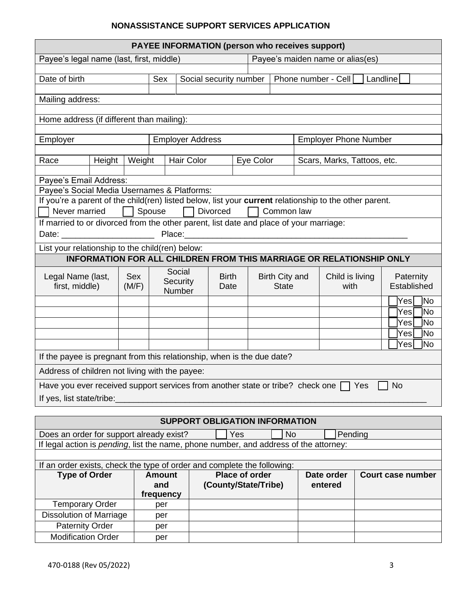## **NONASSISTANCE SUPPORT SERVICES APPLICATION**

| <b>PAYEE INFORMATION (person who receives support)</b>                                                 |                                                                                                                          |        |                         |                                       |                 |                       |                              |            |                             |                          |             |  |            |           |
|--------------------------------------------------------------------------------------------------------|--------------------------------------------------------------------------------------------------------------------------|--------|-------------------------|---------------------------------------|-----------------|-----------------------|------------------------------|------------|-----------------------------|--------------------------|-------------|--|------------|-----------|
| Payee's maiden name or alias(es)<br>Payee's legal name (last, first, middle)                           |                                                                                                                          |        |                         |                                       |                 |                       |                              |            |                             |                          |             |  |            |           |
|                                                                                                        |                                                                                                                          |        |                         |                                       |                 |                       |                              |            |                             |                          |             |  |            |           |
| Date of birth<br>Phone number - Cell<br>Sex<br>Social security number<br>Landline                      |                                                                                                                          |        |                         |                                       |                 |                       |                              |            |                             |                          |             |  |            |           |
| Mailing address:                                                                                       |                                                                                                                          |        |                         |                                       |                 |                       |                              |            |                             |                          |             |  |            |           |
| Home address (if different than mailing):                                                              |                                                                                                                          |        |                         |                                       |                 |                       |                              |            |                             |                          |             |  |            |           |
| Employer                                                                                               |                                                                                                                          |        | <b>Employer Address</b> |                                       |                 |                       | <b>Employer Phone Number</b> |            |                             |                          |             |  |            |           |
| Race                                                                                                   | Height                                                                                                                   | Weight | Hair Color              |                                       |                 | Eye Color             |                              |            | Scars, Marks, Tattoos, etc. |                          |             |  |            |           |
|                                                                                                        |                                                                                                                          |        |                         |                                       |                 |                       |                              |            |                             |                          |             |  |            |           |
| Payee's Email Address:                                                                                 |                                                                                                                          |        |                         |                                       |                 |                       |                              |            |                             |                          |             |  |            |           |
| Payee's Social Media Usernames & Platforms:                                                            |                                                                                                                          |        |                         |                                       |                 |                       |                              |            |                             |                          |             |  |            |           |
| If you're a parent of the child(ren) listed below, list your current relationship to the other parent. |                                                                                                                          |        |                         |                                       |                 |                       |                              |            |                             |                          |             |  |            |           |
| Never married                                                                                          |                                                                                                                          |        | Spouse                  |                                       | <b>Divorced</b> |                       |                              | Common law |                             |                          |             |  |            |           |
| If married to or divorced from the other parent, list date and place of your marriage:                 |                                                                                                                          |        |                         |                                       |                 |                       |                              |            |                             |                          |             |  |            |           |
| Date: _________________________                                                                        |                                                                                                                          |        |                         | Place: Place:                         |                 |                       |                              |            |                             |                          |             |  |            |           |
| List your relationship to the child(ren) below:                                                        |                                                                                                                          |        |                         |                                       |                 |                       |                              |            |                             |                          |             |  |            |           |
|                                                                                                        | <b>INFORMATION FOR ALL CHILDREN FROM THIS MARRIAGE OR RELATIONSHIP ONLY</b>                                              |        |                         |                                       |                 |                       |                              |            |                             |                          |             |  |            |           |
| Legal Name (last,                                                                                      |                                                                                                                          | Sex    | Social                  |                                       | <b>Birth</b>    |                       | Birth City and               |            | Child is living             |                          | Paternity   |  |            |           |
| first, middle)                                                                                         |                                                                                                                          | (M/F)  | Security                |                                       | Date            |                       | <b>State</b>                 |            | with                        |                          | Established |  |            |           |
|                                                                                                        |                                                                                                                          |        |                         | Number                                |                 |                       |                              |            |                             |                          |             |  |            | No        |
|                                                                                                        |                                                                                                                          |        |                         |                                       |                 |                       |                              |            |                             |                          |             |  | Yes<br>Yes | No        |
|                                                                                                        |                                                                                                                          |        |                         |                                       |                 |                       |                              |            |                             |                          |             |  | Yes        | <b>No</b> |
|                                                                                                        |                                                                                                                          |        |                         |                                       |                 |                       |                              |            |                             |                          |             |  | Yesl       | <b>No</b> |
|                                                                                                        |                                                                                                                          |        |                         |                                       |                 |                       |                              |            |                             |                          |             |  | Yes        | No        |
|                                                                                                        |                                                                                                                          |        |                         |                                       |                 |                       |                              |            |                             |                          |             |  |            |           |
|                                                                                                        | If the payee is pregnant from this relationship, when is the due date?<br>Address of children not living with the payee: |        |                         |                                       |                 |                       |                              |            |                             |                          |             |  |            |           |
| Have you ever received support services from another state or tribe? check one $\Box$ Yes              |                                                                                                                          |        |                         |                                       |                 |                       |                              |            |                             |                          |             |  | <b>No</b>  |           |
| If yes, list state/tribe:                                                                              |                                                                                                                          |        |                         |                                       |                 |                       |                              |            |                             |                          |             |  |            |           |
|                                                                                                        |                                                                                                                          |        |                         | <b>SUPPORT OBLIGATION INFORMATION</b> |                 |                       |                              |            |                             |                          |             |  |            |           |
|                                                                                                        |                                                                                                                          |        |                         |                                       |                 |                       |                              |            |                             |                          |             |  |            |           |
| Does an order for support already exist?                                                               |                                                                                                                          |        |                         |                                       |                 | Yes                   |                              | <b>No</b>  |                             | Pending                  |             |  |            |           |
| If legal action is pending, list the name, phone number, and address of the attorney:                  |                                                                                                                          |        |                         |                                       |                 |                       |                              |            |                             |                          |             |  |            |           |
| If an order exists, check the type of order and complete the following:                                |                                                                                                                          |        |                         |                                       |                 |                       |                              |            |                             |                          |             |  |            |           |
| <b>Type of Order</b>                                                                                   |                                                                                                                          |        | <b>Amount</b>           |                                       |                 | <b>Place of order</b> |                              | Date order |                             | <b>Court case number</b> |             |  |            |           |
|                                                                                                        |                                                                                                                          |        | and                     |                                       |                 | (County/State/Tribe)  |                              | entered    |                             |                          |             |  |            |           |
|                                                                                                        |                                                                                                                          |        | frequency               |                                       |                 |                       |                              |            |                             |                          |             |  |            |           |
| <b>Temporary Order</b>                                                                                 |                                                                                                                          |        | per                     |                                       |                 |                       |                              |            |                             |                          |             |  |            |           |
| <b>Dissolution of Marriage</b>                                                                         |                                                                                                                          |        | per                     |                                       |                 |                       |                              |            |                             |                          |             |  |            |           |
| <b>Paternity Order</b>                                                                                 |                                                                                                                          |        | per                     |                                       |                 |                       |                              |            |                             |                          |             |  |            |           |
| <b>Modification Order</b>                                                                              |                                                                                                                          |        | per                     |                                       |                 |                       |                              |            |                             |                          |             |  |            |           |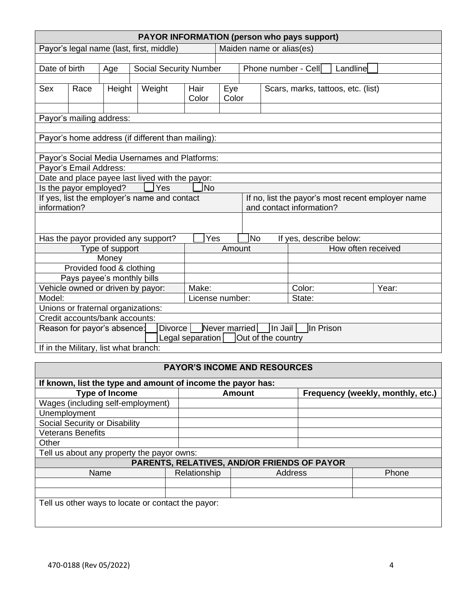|                                                                                         |                                                                                        |        |                                                   |                          |        |  |  | <b>PAYOR INFORMATION (person who pays support)</b> |                                   |  |
|-----------------------------------------------------------------------------------------|----------------------------------------------------------------------------------------|--------|---------------------------------------------------|--------------------------|--------|--|--|----------------------------------------------------|-----------------------------------|--|
| Payor's legal name (last, first, middle)                                                |                                                                                        |        |                                                   | Maiden name or alias(es) |        |  |  |                                                    |                                   |  |
|                                                                                         |                                                                                        |        |                                                   |                          |        |  |  |                                                    |                                   |  |
| Date of birth                                                                           |                                                                                        | Age    | <b>Social Security Number</b>                     |                          |        |  |  | Phone number - Cell                                | Landline                          |  |
|                                                                                         |                                                                                        |        |                                                   |                          |        |  |  |                                                    |                                   |  |
| Sex                                                                                     | Race                                                                                   | Height | Weight                                            | Hair                     | Eye    |  |  | Scars, marks, tattoos, etc. (list)                 |                                   |  |
|                                                                                         |                                                                                        |        |                                                   | Color                    | Color  |  |  |                                                    |                                   |  |
|                                                                                         | Payor's mailing address:                                                               |        |                                                   |                          |        |  |  |                                                    |                                   |  |
|                                                                                         |                                                                                        |        |                                                   |                          |        |  |  |                                                    |                                   |  |
|                                                                                         |                                                                                        |        | Payor's home address (if different than mailing): |                          |        |  |  |                                                    |                                   |  |
|                                                                                         |                                                                                        |        |                                                   |                          |        |  |  |                                                    |                                   |  |
|                                                                                         |                                                                                        |        | Payor's Social Media Usernames and Platforms:     |                          |        |  |  |                                                    |                                   |  |
|                                                                                         | Payor's Email Address:                                                                 |        |                                                   |                          |        |  |  |                                                    |                                   |  |
|                                                                                         |                                                                                        |        | Date and place payee last lived with the payor:   |                          |        |  |  |                                                    |                                   |  |
|                                                                                         | Is the payor employed?                                                                 |        | Yes                                               | No]                      |        |  |  |                                                    |                                   |  |
|                                                                                         |                                                                                        |        | If yes, list the employer's name and contact      |                          |        |  |  | If no, list the payor's most recent employer name  |                                   |  |
| information?                                                                            |                                                                                        |        |                                                   |                          |        |  |  | and contact information?                           |                                   |  |
|                                                                                         |                                                                                        |        |                                                   |                          |        |  |  |                                                    |                                   |  |
|                                                                                         |                                                                                        |        |                                                   |                          |        |  |  |                                                    |                                   |  |
| Yes<br>N <sub>o</sub><br>Has the payor provided any support?<br>If yes, describe below: |                                                                                        |        |                                                   |                          |        |  |  |                                                    |                                   |  |
| Type of support                                                                         |                                                                                        |        |                                                   | Amount                   |        |  |  | How often received                                 |                                   |  |
|                                                                                         |                                                                                        | Money  |                                                   |                          |        |  |  |                                                    |                                   |  |
|                                                                                         | Provided food & clothing                                                               |        |                                                   |                          |        |  |  |                                                    |                                   |  |
| Pays payee's monthly bills                                                              |                                                                                        |        |                                                   |                          |        |  |  |                                                    |                                   |  |
| Vehicle owned or driven by payor:<br>Make:                                              |                                                                                        |        |                                                   |                          | Color: |  |  | Year:                                              |                                   |  |
| Model:<br>License number:                                                               |                                                                                        |        |                                                   | State:                   |        |  |  |                                                    |                                   |  |
| Unions or fraternal organizations:                                                      |                                                                                        |        |                                                   |                          |        |  |  |                                                    |                                   |  |
|                                                                                         | Credit accounts/bank accounts:                                                         |        |                                                   |                          |        |  |  |                                                    |                                   |  |
|                                                                                         | Never married<br><b>Divorce</b><br>In Jail<br>In Prison<br>Reason for payor's absence: |        |                                                   |                          |        |  |  |                                                    |                                   |  |
|                                                                                         | Legal separation<br>Out of the country                                                 |        |                                                   |                          |        |  |  |                                                    |                                   |  |
|                                                                                         | If in the Military, list what branch:                                                  |        |                                                   |                          |        |  |  |                                                    |                                   |  |
|                                                                                         |                                                                                        |        |                                                   |                          |        |  |  |                                                    |                                   |  |
| PAYOR'S INCOME AND RESOURCES                                                            |                                                                                        |        |                                                   |                          |        |  |  |                                                    |                                   |  |
| If known, list the type and amount of income the payor has:                             |                                                                                        |        |                                                   |                          |        |  |  |                                                    |                                   |  |
| <b>Type of Income</b>                                                                   |                                                                                        |        |                                                   | <b>Amount</b>            |        |  |  |                                                    | Frequency (weekly, monthly, etc.) |  |
| Wages (including self-employment)                                                       |                                                                                        |        |                                                   |                          |        |  |  |                                                    |                                   |  |
|                                                                                         | Unemployment                                                                           |        |                                                   |                          |        |  |  |                                                    |                                   |  |
|                                                                                         | Social Security or Disability                                                          |        |                                                   |                          |        |  |  |                                                    |                                   |  |

| Other                                      |  |
|--------------------------------------------|--|
| Tell us about any property the payor owns: |  |

| <b>PARENTS, RELATIVES, AND/OR FRIENDS OF PAYOR</b> |              |                |              |  |  |  |  |  |
|----------------------------------------------------|--------------|----------------|--------------|--|--|--|--|--|
| Name                                               | Relationship | <b>Address</b> | <b>Phone</b> |  |  |  |  |  |
|                                                    |              |                |              |  |  |  |  |  |
|                                                    |              |                |              |  |  |  |  |  |
| Tell us other ways to locate or contact the payor: |              |                |              |  |  |  |  |  |

Veterans Benefits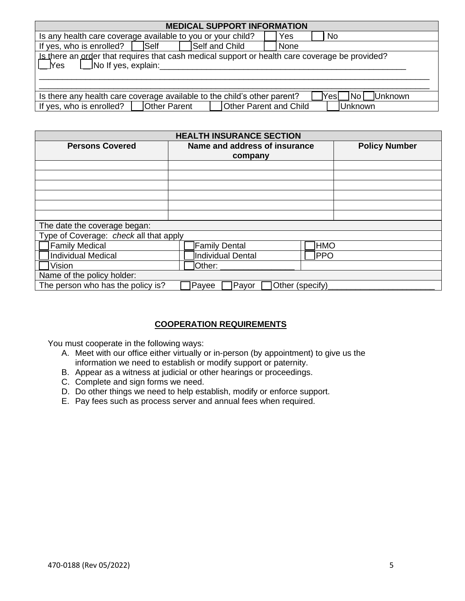| <b>MEDICAL SUPPORT INFORMATION</b>                                                                                               |                  |  |  |  |  |  |  |
|----------------------------------------------------------------------------------------------------------------------------------|------------------|--|--|--|--|--|--|
| Is any health care coverage available to you or your child?                                                                      | <b>No</b><br>Yes |  |  |  |  |  |  |
| If yes, who is enrolled?<br><b>Self</b><br>Self and Child                                                                        | None             |  |  |  |  |  |  |
| Is there an order that requires that cash medical support or health care coverage be provided?<br>⊥ _lYes<br>No If yes, explain: |                  |  |  |  |  |  |  |
| Yes No Unknown<br>Is there any health care coverage available to the child's other parent?                                       |                  |  |  |  |  |  |  |
| <b>Other Parent and Child</b><br>If yes, who is enrolled?<br><b>Other Parent</b><br><b>Unknown</b>                               |                  |  |  |  |  |  |  |

| <b>HEALTH INSURANCE SECTION</b>        |                               |                      |  |  |  |  |  |
|----------------------------------------|-------------------------------|----------------------|--|--|--|--|--|
| <b>Persons Covered</b>                 | Name and address of insurance | <b>Policy Number</b> |  |  |  |  |  |
|                                        | company                       |                      |  |  |  |  |  |
|                                        |                               |                      |  |  |  |  |  |
|                                        |                               |                      |  |  |  |  |  |
|                                        |                               |                      |  |  |  |  |  |
|                                        |                               |                      |  |  |  |  |  |
|                                        |                               |                      |  |  |  |  |  |
|                                        |                               |                      |  |  |  |  |  |
| The date the coverage began:           |                               |                      |  |  |  |  |  |
| Type of Coverage: check all that apply |                               |                      |  |  |  |  |  |
| Family Medical                         | Family Dental                 | <b>HMO</b>           |  |  |  |  |  |
| Individual Medical                     | Individual Dental             | PPO                  |  |  |  |  |  |
| Vision                                 | $I$ Other: $\_$               |                      |  |  |  |  |  |
| Name of the policy holder:             |                               |                      |  |  |  |  |  |
| The person who has the policy is?      | Payor<br>Payee                | Other (specify)      |  |  |  |  |  |

## **COOPERATION REQUIREMENTS**

You must cooperate in the following ways:

- A. Meet with our office either virtually or in-person (by appointment) to give us the information we need to establish or modify support or paternity.
- B. Appear as a witness at judicial or other hearings or proceedings.
- C. Complete and sign forms we need.
- D. Do other things we need to help establish, modify or enforce support.
- E. Pay fees such as process server and annual fees when required.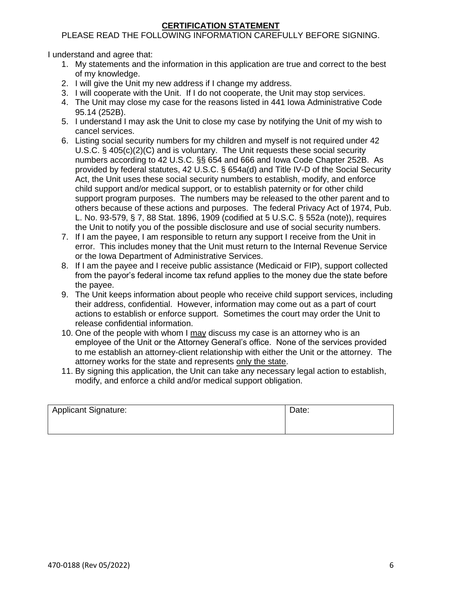## **CERTIFICATION STATEMENT**

## PLEASE READ THE FOLLOWING INFORMATION CAREFULLY BEFORE SIGNING.

I understand and agree that:

- 1. My statements and the information in this application are true and correct to the best of my knowledge.
- 2. I will give the Unit my new address if I change my address.
- 3. I will cooperate with the Unit. If I do not cooperate, the Unit may stop services.
- 4. The Unit may close my case for the reasons listed in 441 Iowa Administrative Code 95.14 (252B).
- 5. I understand I may ask the Unit to close my case by notifying the Unit of my wish to cancel services.
- 6. Listing social security numbers for my children and myself is not required under 42 U.S.C. § 405(c)(2)(C) and is voluntary. The Unit requests these social security numbers according to 42 U.S.C. §§ 654 and 666 and Iowa Code Chapter 252B. As provided by federal statutes, 42 U.S.C. § 654a(d) and Title IV-D of the Social Security Act, the Unit uses these social security numbers to establish, modify, and enforce child support and/or medical support, or to establish paternity or for other child support program purposes. The numbers may be released to the other parent and to others because of these actions and purposes. The federal Privacy Act of 1974, Pub. L. No. 93-579, § 7, 88 Stat. 1896, 1909 (codified at 5 U.S.C. § 552a (note)), requires the Unit to notify you of the possible disclosure and use of social security numbers.
- 7. If I am the payee, I am responsible to return any support I receive from the Unit in error. This includes money that the Unit must return to the Internal Revenue Service or the Iowa Department of Administrative Services.
- 8. If I am the payee and I receive public assistance (Medicaid or FIP), support collected from the payor's federal income tax refund applies to the money due the state before the payee.
- 9. The Unit keeps information about people who receive child support services, including their address, confidential. However, information may come out as a part of court actions to establish or enforce support. Sometimes the court may order the Unit to release confidential information.
- 10. One of the people with whom I may discuss my case is an attorney who is an employee of the Unit or the Attorney General's office. None of the services provided to me establish an attorney-client relationship with either the Unit or the attorney. The attorney works for the state and represents only the state.
- 11. By signing this application, the Unit can take any necessary legal action to establish, modify, and enforce a child and/or medical support obligation.

| <b>Applicant Signature:</b> | Date: |
|-----------------------------|-------|
|                             |       |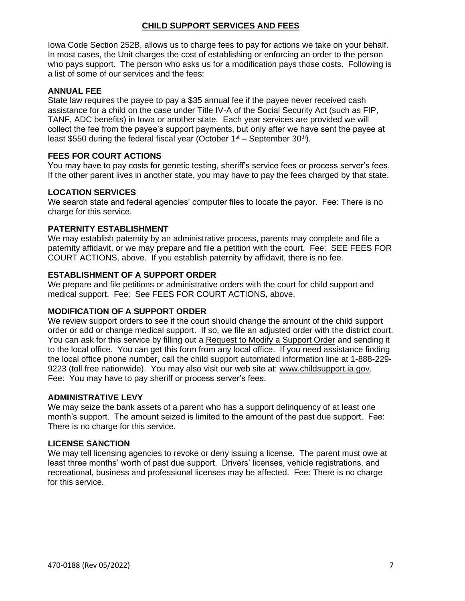## **CHILD SUPPORT SERVICES AND FEES**

Iowa Code Section 252B, allows us to charge fees to pay for actions we take on your behalf. In most cases, the Unit charges the cost of establishing or enforcing an order to the person who pays support. The person who asks us for a modification pays those costs. Following is a list of some of our services and the fees:

#### **ANNUAL FEE**

State law requires the payee to pay a \$35 annual fee if the payee never received cash assistance for a child on the case under Title IV-A of the Social Security Act (such as FIP, TANF, ADC benefits) in Iowa or another state. Each year services are provided we will collect the fee from the payee's support payments, but only after we have sent the payee at least \$550 during the federal fiscal year (October  $1<sup>st</sup>$  – September 30<sup>th</sup>).

## **FEES FOR COURT ACTIONS**

You may have to pay costs for genetic testing, sheriff's service fees or process server's fees. If the other parent lives in another state, you may have to pay the fees charged by that state.

#### **LOCATION SERVICES**

We search state and federal agencies' computer files to locate the payor. Fee: There is no charge for this service.

#### **PATERNITY ESTABLISHMENT**

We may establish paternity by an administrative process, parents may complete and file a paternity affidavit, or we may prepare and file a petition with the court. Fee: SEE FEES FOR COURT ACTIONS, above. If you establish paternity by affidavit, there is no fee.

#### **ESTABLISHMENT OF A SUPPORT ORDER**

We prepare and file petitions or administrative orders with the court for child support and medical support. Fee: See FEES FOR COURT ACTIONS, above.

#### **MODIFICATION OF A SUPPORT ORDER**

We review support orders to see if the court should change the amount of the child support order or add or change medical support. If so, we file an adjusted order with the district court. You can ask for this service by filling out a Request to Modify a Support Order and sending it to the local office. You can get this form from any local office. If you need assistance finding the local office phone number, call the child support automated information line at 1-888-229- 9223 (toll free nationwide). You may also visit our web site at: www.childsupport.ia.gov. Fee: You may have to pay sheriff or process server's fees.

## **ADMINISTRATIVE LEVY**

We may seize the bank assets of a parent who has a support delinquency of at least one month's support. The amount seized is limited to the amount of the past due support. Fee: There is no charge for this service.

#### **LICENSE SANCTION**

We may tell licensing agencies to revoke or deny issuing a license. The parent must owe at least three months' worth of past due support. Drivers' licenses, vehicle registrations, and recreational, business and professional licenses may be affected. Fee: There is no charge for this service.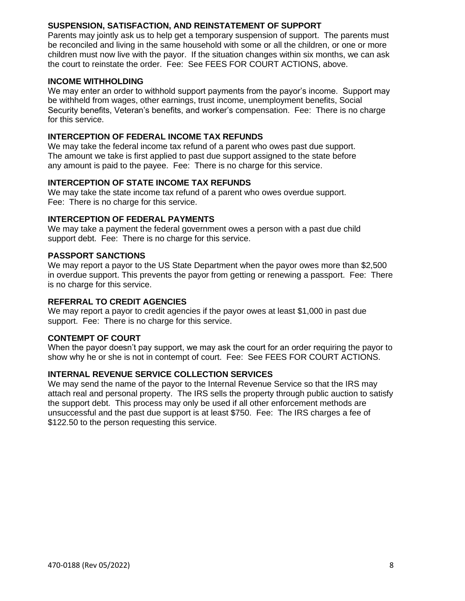## **SUSPENSION, SATISFACTION, AND REINSTATEMENT OF SUPPORT**

Parents may jointly ask us to help get a temporary suspension of support. The parents must be reconciled and living in the same household with some or all the children, or one or more children must now live with the payor. If the situation changes within six months, we can ask the court to reinstate the order. Fee: See FEES FOR COURT ACTIONS, above.

#### **INCOME WITHHOLDING**

We may enter an order to withhold support payments from the payor's income. Support may be withheld from wages, other earnings, trust income, unemployment benefits, Social Security benefits, Veteran's benefits, and worker's compensation. Fee: There is no charge for this service.

#### **INTERCEPTION OF FEDERAL INCOME TAX REFUNDS**

We may take the federal income tax refund of a parent who owes past due support. The amount we take is first applied to past due support assigned to the state before any amount is paid to the payee. Fee: There is no charge for this service.

#### **INTERCEPTION OF STATE INCOME TAX REFUNDS**

We may take the state income tax refund of a parent who owes overdue support. Fee: There is no charge for this service.

#### **INTERCEPTION OF FEDERAL PAYMENTS**

We may take a payment the federal government owes a person with a past due child support debt. Fee: There is no charge for this service.

#### **PASSPORT SANCTIONS**

We may report a payor to the US State Department when the payor owes more than \$2,500 in overdue support. This prevents the payor from getting or renewing a passport. Fee: There is no charge for this service.

#### **REFERRAL TO CREDIT AGENCIES**

We may report a payor to credit agencies if the payor owes at least \$1,000 in past due support. Fee: There is no charge for this service.

## **CONTEMPT OF COURT**

When the payor doesn't pay support, we may ask the court for an order requiring the payor to show why he or she is not in contempt of court. Fee: See FEES FOR COURT ACTIONS.

## **INTERNAL REVENUE SERVICE COLLECTION SERVICES**

We may send the name of the payor to the Internal Revenue Service so that the IRS may attach real and personal property. The IRS sells the property through public auction to satisfy the support debt. This process may only be used if all other enforcement methods are unsuccessful and the past due support is at least \$750. Fee: The IRS charges a fee of \$122.50 to the person requesting this service.